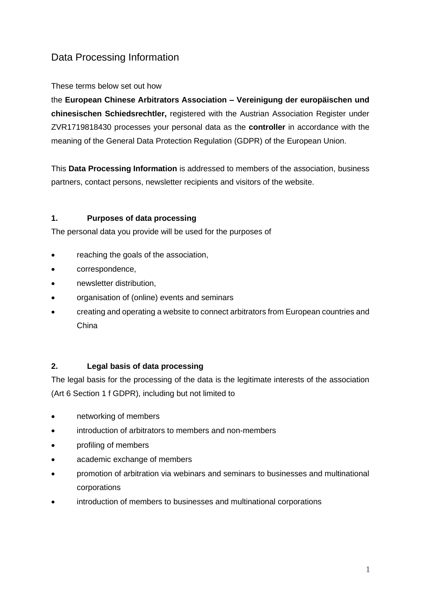# Data Processing Information

### These terms below set out how

the **European Chinese Arbitrators Association – Vereinigung der europäischen und chinesischen Schiedsrechtler,** registered with the Austrian Association Register under ZVR1719818430 processes your personal data as the **controller** in accordance with the meaning of the General Data Protection Regulation (GDPR) of the European Union.

This **Data Processing Information** is addressed to members of the association, business partners, contact persons, newsletter recipients and visitors of the website.

### **1. Purposes of data processing**

The personal data you provide will be used for the purposes of

- reaching the goals of the association,
- correspondence,
- newsletter distribution,
- organisation of (online) events and seminars
- creating and operating a website to connect arbitrators from European countries and China

### **2. Legal basis of data processing**

The legal basis for the processing of the data is the legitimate interests of the association (Art 6 Section 1 f GDPR), including but not limited to

- networking of members
- introduction of arbitrators to members and non-members
- profiling of members
- academic exchange of members
- promotion of arbitration via webinars and seminars to businesses and multinational corporations
- introduction of members to businesses and multinational corporations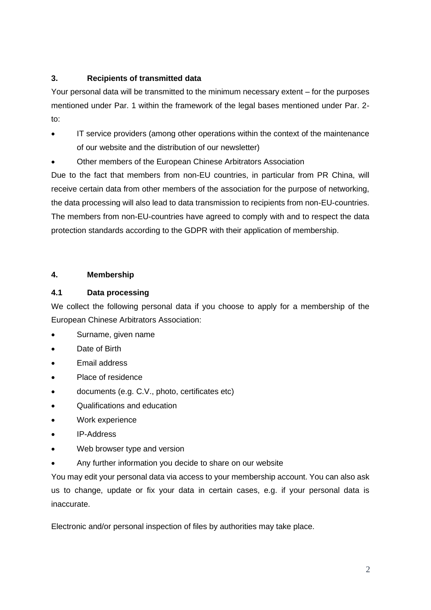# **3. Recipients of transmitted data**

Your personal data will be transmitted to the minimum necessary extent – for the purposes mentioned under Par. 1 within the framework of the legal bases mentioned under Par. 2 to:

- IT service providers (among other operations within the context of the maintenance of our website and the distribution of our newsletter)
- Other members of the European Chinese Arbitrators Association

Due to the fact that members from non-EU countries, in particular from PR China, will receive certain data from other members of the association for the purpose of networking, the data processing will also lead to data transmission to recipients from non-EU-countries. The members from non-EU-countries have agreed to comply with and to respect the data protection standards according to the GDPR with their application of membership.

# **4. Membership**

# **4.1 Data processing**

We collect the following personal data if you choose to apply for a membership of the European Chinese Arbitrators Association:

- Surname, given name
- Date of Birth
- Email address
- Place of residence
- documents (e.g. C.V., photo, certificates etc)
- Qualifications and education
- Work experience
- IP-Address
- Web browser type and version
- Any further information you decide to share on our website

You may edit your personal data via access to your membership account. You can also ask us to change, update or fix your data in certain cases, e.g. if your personal data is inaccurate.

Electronic and/or personal inspection of files by authorities may take place.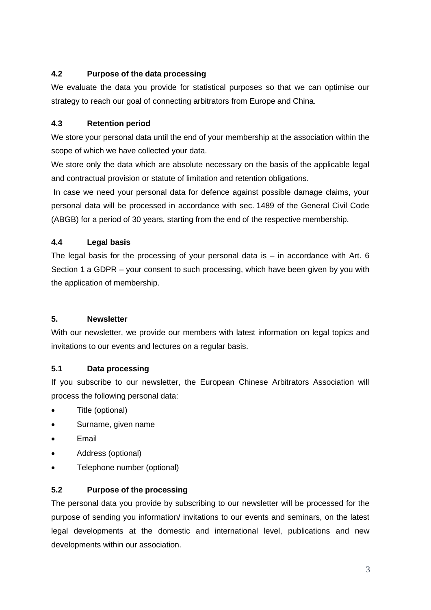# **4.2 Purpose of the data processing**

We evaluate the data you provide for statistical purposes so that we can optimise our strategy to reach our goal of connecting arbitrators from Europe and China.

# **4.3 Retention period**

We store your personal data until the end of your membership at the association within the scope of which we have collected your data.

We store only the data which are absolute necessary on the basis of the applicable legal and contractual provision or statute of limitation and retention obligations.

In case we need your personal data for defence against possible damage claims, your personal data will be processed in accordance with sec. 1489 of the General Civil Code (ABGB) for a period of 30 years, starting from the end of the respective membership.

# **4.4 Legal basis**

The legal basis for the processing of your personal data is  $-$  in accordance with Art. 6 Section 1 a GDPR – your consent to such processing, which have been given by you with the application of membership.

### **5. Newsletter**

With our newsletter, we provide our members with latest information on legal topics and invitations to our events and lectures on a regular basis.

### **5.1 Data processing**

If you subscribe to our newsletter, the European Chinese Arbitrators Association will process the following personal data:

- Title (optional)
- Surname, given name
- **Email**
- Address (optional)
- Telephone number (optional)

### **5.2 Purpose of the processing**

The personal data you provide by subscribing to our newsletter will be processed for the purpose of sending you information/ invitations to our events and seminars, on the latest legal developments at the domestic and international level, publications and new developments within our association.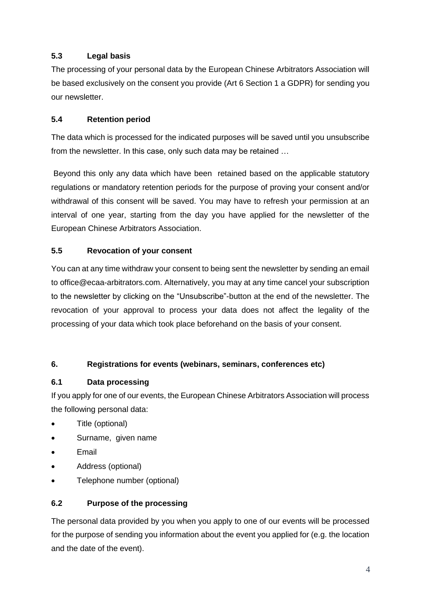# **5.3 Legal basis**

The processing of your personal data by the European Chinese Arbitrators Association will be based exclusively on the consent you provide (Art 6 Section 1 a GDPR) for sending you our newsletter.

# **5.4 Retention period**

The data which is processed for the indicated purposes will be saved until you unsubscribe from the newsletter. In this case, only such data may be retained …

Beyond this only any data which have been retained based on the applicable statutory regulations or mandatory retention periods for the purpose of proving your consent and/or withdrawal of this consent will be saved. You may have to refresh your permission at an interval of one year, starting from the day you have applied for the newsletter of the European Chinese Arbitrators Association.

# **5.5 Revocation of your consent**

You can at any time withdraw your consent to being sent the newsletter by sending an email to office@ecaa-arbitrators.com. Alternatively, you may at any time cancel your subscription to the newsletter by clicking on the "Unsubscribe"-button at the end of the newsletter. The revocation of your approval to process your data does not affect the legality of the processing of your data which took place beforehand on the basis of your consent.

### **6. Registrations for events (webinars, seminars, conferences etc)**

### **6.1 Data processing**

If you apply for one of our events, the European Chinese Arbitrators Association will process the following personal data:

- Title (optional)
- Surname, given name
- Email
- Address (optional)
- Telephone number (optional)

# **6.2 Purpose of the processing**

The personal data provided by you when you apply to one of our events will be processed for the purpose of sending you information about the event you applied for (e.g. the location and the date of the event).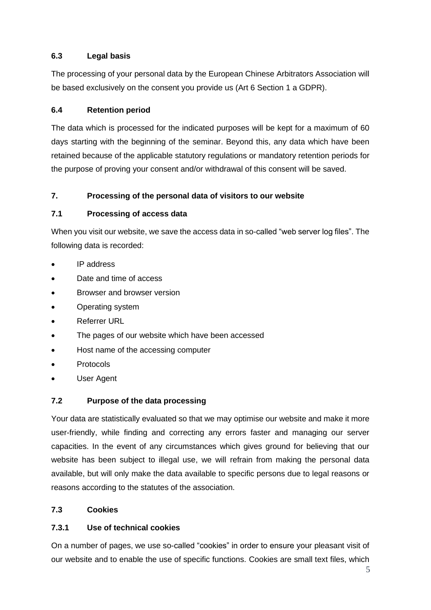# **6.3 Legal basis**

The processing of your personal data by the European Chinese Arbitrators Association will be based exclusively on the consent you provide us (Art 6 Section 1 a GDPR).

# **6.4 Retention period**

The data which is processed for the indicated purposes will be kept for a maximum of 60 days starting with the beginning of the seminar. Beyond this, any data which have been retained because of the applicable statutory regulations or mandatory retention periods for the purpose of proving your consent and/or withdrawal of this consent will be saved.

# **7. Processing of the personal data of visitors to our website**

# **7.1 Processing of access data**

When you visit our website, we save the access data in so-called "web server log files". The following data is recorded:

- IP address
- Date and time of access
- Browser and browser version
- Operating system
- Referrer URL
- The pages of our website which have been accessed
- Host name of the accessing computer
- Protocols
- User Agent

### **7.2 Purpose of the data processing**

Your data are statistically evaluated so that we may optimise our website and make it more user-friendly, while finding and correcting any errors faster and managing our server capacities. In the event of any circumstances which gives ground for believing that our website has been subject to illegal use, we will refrain from making the personal data available, but will only make the data available to specific persons due to legal reasons or reasons according to the statutes of the association.

# **7.3 Cookies**

### **7.3.1 Use of technical cookies**

On a number of pages, we use so-called "cookies" in order to ensure your pleasant visit of our website and to enable the use of specific functions. Cookies are small text files, which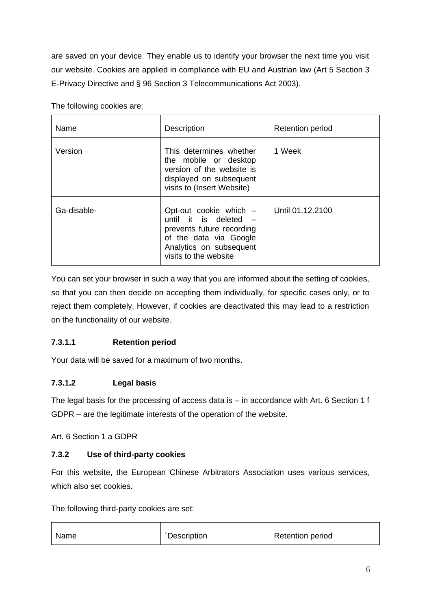are saved on your device. They enable us to identify your browser the next time you visit our website. Cookies are applied in compliance with EU and Austrian law (Art 5 Section 3 E-Privacy Directive and § 96 Section 3 Telecommunications Act 2003).

The following cookies are:

| Name        | <b>Description</b>                                                                                                                                           | <b>Retention period</b> |
|-------------|--------------------------------------------------------------------------------------------------------------------------------------------------------------|-------------------------|
| Version     | This determines whether<br>the mobile or desktop<br>version of the website is<br>displayed on subsequent<br>visits to (Insert Website)                       | 1 Week                  |
| Ga-disable- | Opt-out cookie which -<br>until it is deleted $-$<br>prevents future recording<br>of the data via Google<br>Analytics on subsequent<br>visits to the website | Until 01.12.2100        |

You can set your browser in such a way that you are informed about the setting of cookies, so that you can then decide on accepting them individually, for specific cases only, or to reject them completely. However, if cookies are deactivated this may lead to a restriction on the functionality of our website.

# **7.3.1.1 Retention period**

Your data will be saved for a maximum of two months.

# **7.3.1.2 Legal basis**

The legal basis for the processing of access data is – in accordance with Art. 6 Section 1 f GDPR – are the legitimate interests of the operation of the website.

Art. 6 Section 1 a GDPR

# **7.3.2 Use of third-party cookies**

For this website, the European Chinese Arbitrators Association uses various services, which also set cookies.

The following third-party cookies are set:

| <i><b>Description</b></i><br>Name | <b>Retention period</b> |
|-----------------------------------|-------------------------|
|-----------------------------------|-------------------------|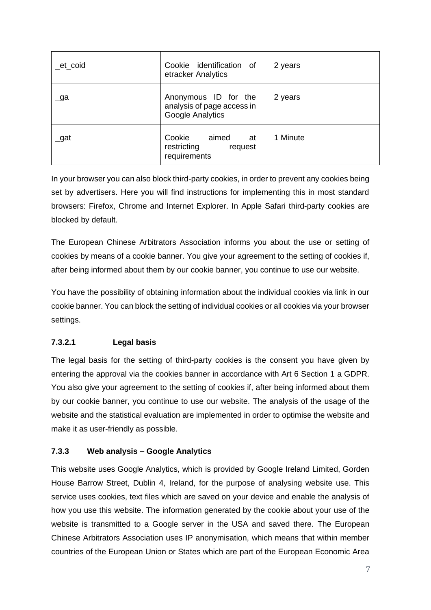| _et_coid  | Cookie identification of<br>etracker Analytics                                | 2 years  |
|-----------|-------------------------------------------------------------------------------|----------|
| $\Box$ ga | Anonymous ID for the<br>analysis of page access in<br><b>Google Analytics</b> | 2 years  |
| $\_$ gat  | Cookie<br>aimed<br>at<br>restricting<br>request<br>requirements               | 1 Minute |

In your browser you can also block third-party cookies, in order to prevent any cookies being set by advertisers. Here you will find instructions for implementing this in most standard browsers: Firefox, Chrome and Internet Explorer. In Apple Safari third-party cookies are blocked by default.

The European Chinese Arbitrators Association informs you about the use or setting of cookies by means of a cookie banner. You give your agreement to the setting of cookies if, after being informed about them by our cookie banner, you continue to use our website.

You have the possibility of obtaining information about the individual cookies via link in our cookie banner. You can block the setting of individual cookies or all cookies via your browser settings.

### **7.3.2.1 Legal basis**

The legal basis for the setting of third-party cookies is the consent you have given by entering the approval via the cookies banner in accordance with Art 6 Section 1 a GDPR. You also give your agreement to the setting of cookies if, after being informed about them by our cookie banner, you continue to use our website. The analysis of the usage of the website and the statistical evaluation are implemented in order to optimise the website and make it as user-friendly as possible.

#### **7.3.3 Web analysis – Google Analytics**

This website uses Google Analytics, which is provided by Google Ireland Limited, Gorden House Barrow Street, Dublin 4, Ireland, for the purpose of analysing website use. This service uses cookies, text files which are saved on your device and enable the analysis of how you use this website. The information generated by the cookie about your use of the website is transmitted to a Google server in the USA and saved there. The European Chinese Arbitrators Association uses IP anonymisation, which means that within member countries of the European Union or States which are part of the European Economic Area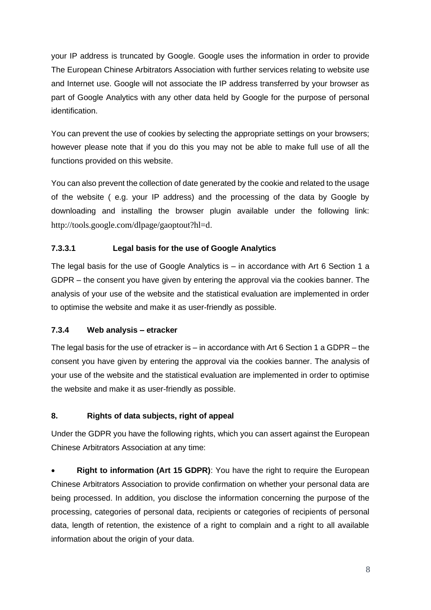your IP address is truncated by Google. Google uses the information in order to provide The European Chinese Arbitrators Association with further services relating to website use and Internet use. Google will not associate the IP address transferred by your browser as part of Google Analytics with any other data held by Google for the purpose of personal identification.

You can prevent the use of cookies by selecting the appropriate settings on your browsers; however please note that if you do this you may not be able to make full use of all the functions provided on this website.

You can also prevent the collection of date generated by the cookie and related to the usage of the website ( e.g. your IP address) and the processing of the data by Google by downloading and installing the browser plugin available under the following link: <http://tools.google.com/dlpage/gaoptout?hl=d>.

# **7.3.3.1 Legal basis for the use of Google Analytics**

The legal basis for the use of Google Analytics is  $-$  in accordance with Art 6 Section 1 a GDPR – the consent you have given by entering the approval via the cookies banner. The analysis of your use of the website and the statistical evaluation are implemented in order to optimise the website and make it as user-friendly as possible.

### **7.3.4 Web analysis – etracker**

The legal basis for the use of etracker is  $-$  in accordance with Art 6 Section 1 a GDPR  $-$  the consent you have given by entering the approval via the cookies banner. The analysis of your use of the website and the statistical evaluation are implemented in order to optimise the website and make it as user-friendly as possible.

### **8. Rights of data subjects, right of appeal**

Under the GDPR you have the following rights, which you can assert against the European Chinese Arbitrators Association at any time:

**Right to information (Art 15 GDPR):** You have the right to require the European Chinese Arbitrators Association to provide confirmation on whether your personal data are being processed. In addition, you disclose the information concerning the purpose of the processing, categories of personal data, recipients or categories of recipients of personal data, length of retention, the existence of a right to complain and a right to all available information about the origin of your data.